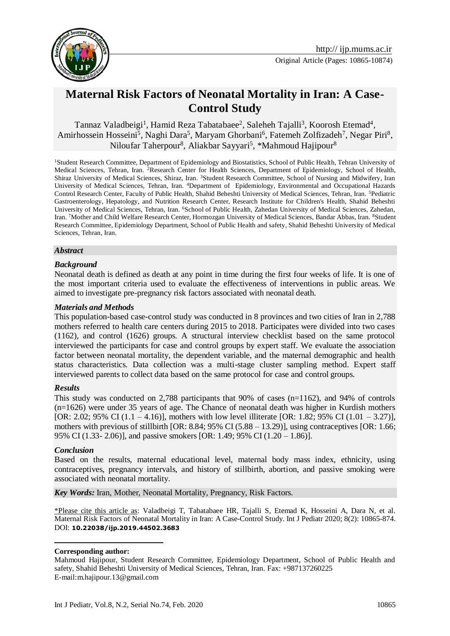

# **Maternal Risk Factors of Neonatal Mortality in Iran: A Case-Control Study**

Tannaz Valadbeigi<sup>1</sup>, Hamid Reza Tabatabaee<sup>2</sup>, Saleheh Tajalli<sup>3</sup>, Koorosh Etemad<sup>4</sup>, Amirhossein Hosseini<sup>5</sup>, Naghi Dara<sup>5</sup>, Maryam Ghorbani<sup>6</sup>, Fatemeh Zolfizadeh<sup>7</sup>, Negar Piri<sup>8</sup>, Niloufar Taherpour<sup>8</sup>, Aliakbar Sayyari<sup>5</sup>, \*Mahmoud Hajipour<sup>8</sup>

<sup>1</sup>Student Research Committee, Department of Epidemiology and Biostatistics, School of Public Health, Tehran University of Medical Sciences, Tehran, Iran. <sup>2</sup>Research Center for Health Sciences, Department of Epidemiology, School of Health, Shiraz University of Medical Sciences, Shiraz, Iran. <sup>3</sup>Student Research Committee, School of Nursing and Midwifery, Iran University of Medical Sciences, Tehran, Iran. <sup>4</sup>Department of Epidemiology, Environmental and Occupational Hazards Control Research Center, Faculty of Public Health, Shahid Beheshti University of Medical Sciences, Tehran, Iran. <sup>5</sup>Pediatric Gastroenterology, Hepatology, and Nutrition Research Center, Research Institute for Children's Health, Shahid Beheshti University of Medical Sciences, Tehran, Iran. <sup>6</sup>School of Public Health, Zahedan University of Medical Sciences, Zahedan, Iran. <sup>7</sup>Mother and Child Welfare Research Center, Hormozgan University of Medical Sciences, Bandar Abbas, Iran. <sup>8</sup>Student Research Committee, Epidemiology Department, School of Public Health and safety, Shahid Beheshti University of Medical Sciences, Tehran, Iran.

#### *Abstract*

#### *Background*

Neonatal death is defined as death at any point in time during the first four weeks of life. It is one of the most important criteria used to evaluate the effectiveness of interventions in public areas. We aimed to investigate pre-pregnancy risk factors associated with neonatal death.

#### *Materials and Methods*

This population-based case-control study was conducted in 8 provinces and two cities of Iran in 2,788 mothers referred to health care centers during 2015 to 2018. Participates were divided into two cases (1162), and control (1626) groups. A structural interview checklist based on the same protocol interviewed the participants for case and control groups by expert staff. We evaluate the association factor between neonatal mortality, the dependent variable, and the maternal demographic and health status characteristics. Data collection was a multi-stage cluster sampling method. Expert staff interviewed parents to collect data based on the same protocol for case and control groups.

#### *Results*

This study was conducted on 2,788 participants that  $90\%$  of cases (n=1162), and  $94\%$  of controls (n=1626) were under 35 years of age. The Chance of neonatal death was higher in Kurdish mothers [OR: 2.02; 95% CI (1.1 – 4.16)], mothers with low level illiterate [OR: 1.82; 95% CI (1.01 – 3.27)], mothers with previous of stillbirth [OR: 8.84; 95% CI (5.88 – 13.29)], using contraceptives [OR: 1.66; 95% CI (1.33- 2.06)], and passive smokers [OR: 1.49; 95% CI (1.20 – 1.86)].

#### *Conclusion*

-

Based on the results, maternal educational level, maternal body mass index, ethnicity, using contraceptives, pregnancy intervals, and history of stillbirth, abortion, and passive smoking were associated with neonatal mortality.

*Key Words:* Iran, Mother, Neonatal Mortality, Pregnancy, Risk Factors.

\*Please cite this article as: Valadbeigi T, Tabatabaee HR, Tajalli S, Etemad K, Hosseini A, Dara N, et al. Maternal Risk Factors of Neonatal Mortality in Iran: A Case-Control Study. Int J Pediatr 2020; 8(2): 10865-874. DOI: **10.22038/ijp.2019.44502.3683**

#### **Corresponding author:**

Mahmoud Hajipour, Student Research Committee, Epidemiology Department, School of Public Health and safety, Shahid Beheshti University of Medical Sciences, Tehran, Iran. Fax: +987137260225 E-mail[:m.hajipour.13@gmail.com](mailto:m.hajipour.13@gmail.com)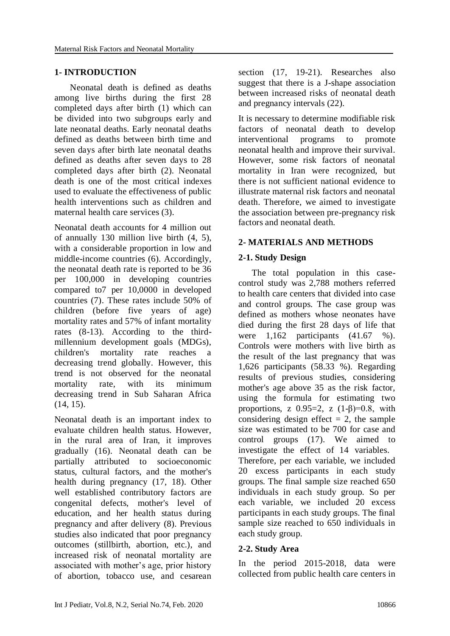### **1- INTRODUCTION**

 Neonatal death is defined as deaths among live births during the first 28 completed days after birth (1) which can be divided into two subgroups early and late neonatal deaths. Early neonatal deaths defined as deaths between birth time and seven days after birth late neonatal deaths defined as deaths after seven days to 28 completed days after birth (2). Neonatal death is one of the most critical indexes used to evaluate the effectiveness of public health interventions such as children and maternal health care services (3).

Neonatal death accounts for 4 million out of annually 130 million live birth (4, 5), with a considerable proportion in low and middle-income countries (6). Accordingly, the neonatal death rate is reported to be 36 per 100,000 in developing countries compared to7 per 10,0000 in developed countries (7). These rates include 50% of children (before five years of age) mortality rates and 57% of infant mortality rates (8-13). According to the thirdmillennium development goals (MDGs), children's mortality rate reaches a decreasing trend globally. However, this trend is not observed for the neonatal mortality rate, with its minimum decreasing trend in Sub Saharan Africa  $(14, 15)$ .

Neonatal death is an important index to evaluate children health status. However, in the rural area of Iran, it improves gradually (16). Neonatal death can be partially attributed to socioeconomic status, cultural factors, and the mother's health during pregnancy (17, 18). Other well established contributory factors are congenital defects, mother's level of education, and her health status during pregnancy and after delivery (8). Previous studies also indicated that poor pregnancy outcomes (stillbirth, abortion, etc.), and increased risk of neonatal mortality are associated with mother's age, prior history of abortion, tobacco use, and cesarean section (17, 19-21). Researches also suggest that there is a J-shape association between increased risks of neonatal death and pregnancy intervals (22).

It is necessary to determine modifiable risk factors of neonatal death to develop interventional programs to promote neonatal health and improve their survival. However, some risk factors of neonatal mortality in Iran were recognized, but there is not sufficient national evidence to illustrate maternal risk factors and neonatal death. Therefore, we aimed to investigate the association between pre-pregnancy risk factors and neonatal death.

### **2- MATERIALS AND METHODS**

### **2-1. Study Design**

 The total population in this casecontrol study was 2,788 mothers referred to health care centers that divided into case and control groups. The case group was defined as mothers whose neonates have died during the first 28 days of life that were 1,162 participants (41.67 %). Controls were mothers with live birth as the result of the last pregnancy that was 1,626 participants (58.33 %). Regarding results of previous studies, considering mother's age above 35 as the risk factor, using the formula for estimating two proportions, z  $0.95=2$ , z  $(1-\beta)=0.8$ , with considering design effect  $= 2$ , the sample size was estimated to be 700 for case and control groups (17). We aimed to investigate the effect of 14 variables. Therefore, per each variable, we included 20 excess participants in each study groups. The final sample size reached 650 individuals in each study group. So per each variable, we included 20 excess participants in each study groups. The final sample size reached to 650 individuals in each study group.

#### **2-2. Study Area**

In the period 2015-2018, data were collected from public health care centers in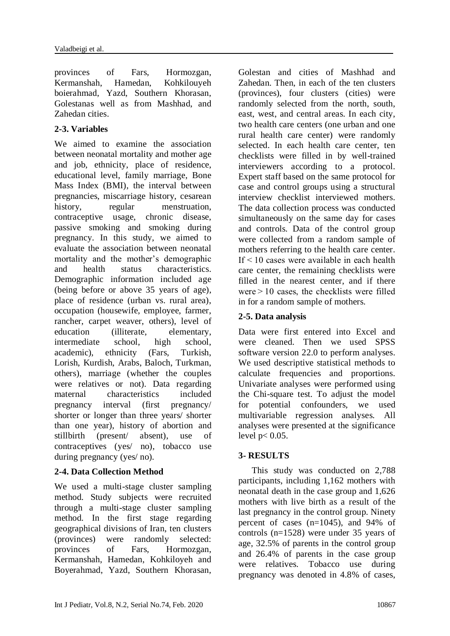provinces of Fars, Hormozgan, Kermanshah, Hamedan, Kohkilouyeh boierahmad, Yazd, Southern Khorasan, Golestanas well as from Mashhad, and Zahedan cities.

# **2-3. Variables**

We aimed to examine the association between neonatal mortality and mother age and job, ethnicity, place of residence, educational level, family marriage, Bone Mass Index (BMI), the interval between pregnancies, miscarriage history, cesarean history, regular menstruation, contraceptive usage, chronic disease, passive smoking and smoking during pregnancy. In this study, we aimed to evaluate the association between neonatal mortality and the mother's demographic and health status characteristics. Demographic information included age (being before or above 35 years of age), place of residence (urban vs. rural area), occupation (housewife, employee, farmer, rancher, carpet weaver, others), level of education (illiterate, elementary, intermediate school, high school, academic), ethnicity (Fars, Turkish, Lorish, Kurdish, Arabs, Baloch, Turkman, others), marriage (whether the couples were relatives or not). Data regarding maternal characteristics included pregnancy interval (first pregnancy/ shorter or longer than three years/ shorter than one year), history of abortion and stillbirth (present/ absent), use of contraceptives (yes/ no), tobacco use during pregnancy (yes/ no).

## **2-4. Data Collection Method**

We used a multi-stage cluster sampling method. Study subjects were recruited through a multi-stage cluster sampling method. In the first stage regarding geographical divisions of Iran, ten clusters (provinces) were randomly selected: provinces of Fars, Hormozgan, Kermanshah, Hamedan, Kohkiloyeh and Boyerahmad, Yazd, Southern Khorasan,

Golestan and cities of Mashhad and Zahedan. Then, in each of the ten clusters (provinces), four clusters (cities) were randomly selected from the north, south, east, west, and central areas. In each city, two health care centers (one urban and one rural health care center) were randomly selected. In each health care center, ten checklists were filled in by well-trained interviewers according to a protocol. Expert staff based on the same protocol for case and control groups using a structural interview checklist interviewed mothers. The data collection process was conducted simultaneously on the same day for cases and controls. Data of the control group were collected from a random sample of mothers referring to the health care center. If < 10 cases were available in each health care center, the remaining checklists were filled in the nearest center, and if there were $>10$  cases, the checklists were filled in for a random sample of mothers.

# **2-5. Data analysis**

Data were first entered into Excel and were cleaned. Then we used SPSS software version 22.0 to perform analyses. We used descriptive statistical methods to calculate frequencies and proportions. Univariate analyses were performed using the Chi-square test. To adjust the model for potential confounders, we used multivariable regression analyses. All analyses were presented at the significance level  $p< 0.05$ .

## **3- RESULTS**

 This study was conducted on 2,788 participants, including 1,162 mothers with neonatal death in the case group and 1,626 mothers with live birth as a result of the last pregnancy in the control group. Ninety percent of cases (n=1045), and 94% of controls (n=1528) were under 35 years of age, 32.5% of parents in the control group and 26.4% of parents in the case group were relatives. Tobacco use during pregnancy was denoted in 4.8% of cases,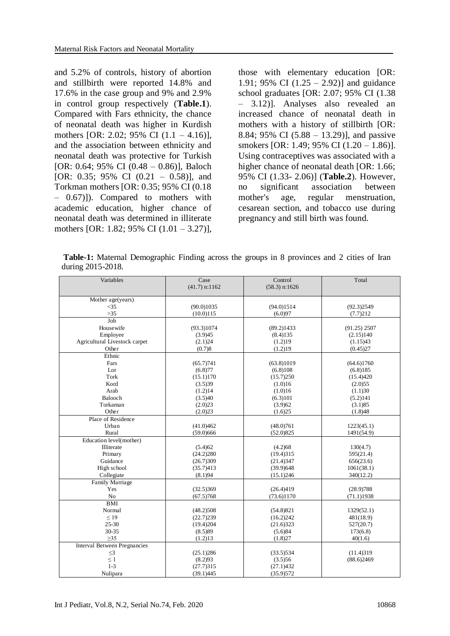and 5.2% of controls, history of abortion and stillbirth were reported 14.8% and 17.6% in the case group and 9% and 2.9% in control group respectively (**Table.1**). Compared with Fars ethnicity, the chance of neonatal death was higher in Kurdish mothers [OR: 2.02; 95% CI (1.1 – 4.16)], and the association between ethnicity and neonatal death was protective for Turkish [OR: 0.64; 95% CI (0.48 – 0.86)], Baloch [OR: 0.35; 95% CI (0.21 – 0.58)], and Torkman mothers [OR: 0.35; 95% CI (0.18 – 0.67)]). Compared to mothers with academic education, higher chance of neonatal death was determined in illiterate mothers [OR: 1.82; 95% CI (1.01 – 3.27)],

those with elementary education [OR: 1.91; 95% CI (1.25 – 2.92)] and guidance school graduates [OR: 2.07; 95% CI (1.38 – 3.12)]. Analyses also revealed an increased chance of neonatal death in mothers with a history of stillbirth [OR: 8.84; 95% CI (5.88 – 13.29)], and passive smokers [OR: 1.49; 95% CI (1.20 – 1.86)]. Using contraceptives was associated with a higher chance of neonatal death [OR: 1.66; 95% CI (1.33- 2.06)] (**Table.2**). However, no significant association between mother's age, regular menstruation, cesarean section, and tobacco use during pregnancy and still birth was found.

**Table-1:** Maternal Demographic Finding across the groups in 8 provinces and 2 cities of Iran during 2015-2018.

| Variables                           | Case            | Control         | Total          |
|-------------------------------------|-----------------|-----------------|----------------|
|                                     | $(41.7)$ n:1162 | $(58.3)$ n:1626 |                |
| Mother age(years)                   |                 |                 |                |
| $<$ 35                              | (90.0)1035      | (94.0)1514      | (92.3)2549     |
| $>35$                               | (10.0)115       | (6.0)97         | (7.7)212       |
| Job                                 |                 |                 |                |
| Housewife                           | (93.3)1074      | (89.2)1433      | $(91.25)$ 2507 |
| Employee                            | (3.9)45         | (8.4)135        | (2.15)140      |
| Agricultural Livestock carpet       | (2.1)24         | (1.2)19         | (1.15)43       |
| Other                               | (0.7)8          | (1.2)19         | (0.45)27       |
| Ethnic                              |                 |                 |                |
| Fars                                | (65.7)741       | (63.8)1019      | (64.6)1760     |
| Lor                                 | (6.8)77         | (6.8)108        | (6.8)185       |
| Tork                                | (15.1)170       | (15.7)250       | (15.4)420      |
| Kord                                | (3.5)39         | (1.0)16         | (2.0)55        |
| Arab                                | (1.2)14         | (1.0)16         | (1.1)30        |
| Balooch                             | (3.5)40         | (6.3)101        | (5.2)141       |
| Torkaman                            | (2.0)23         | (3.9)62         | (3.1)85        |
| Other                               | (2.0)23         | (1.6)25         | (1.8)48        |
| Place of Residence                  |                 |                 |                |
| Urban                               | (41.0)462       | (48.0)761       | 1223(45.1)     |
| Rural                               | (59.0)666       | (52.0)825       | 1491(54.9)     |
| Education level(mother)             |                 |                 |                |
| Illiterate                          | (5.4)62         | (4.2)68         | 130(4.7)       |
| Primary                             | (24.2)280       | (19.4)315       | 595(21.4)      |
| Guidance                            | (26.7)309       | (21.4)347       | 656(23.6)      |
| High school                         | (35.7)413       | (39.9)648       | 1061(38.1)     |
| Collegiate                          | (8.1)94         | (15.1)246       | 340(12.2)      |
| Family Marriage                     |                 |                 |                |
| Yes                                 | (32.5)369       | (26.4)419       | (28.9)788      |
| N <sub>o</sub>                      | (67.5)768       | (73.6)1170      | (71.1)1938     |
| <b>BMI</b>                          |                 |                 |                |
| Normal                              | (48.2)508       | (54.8)821       | 1329(52.1)     |
| $\leq$ 19                           | (22.7)239       | (16.2)242       | 481(18.9)      |
| $25 - 30$                           | (19.4)204       | (21.6)323       | 527(20.7)      |
| $30 - 35$                           | (8.5)89         | (5.6)84         | 173(6.8)       |
| $>35$                               | (1.2)13         | (1.8)27         | 40(1.6)        |
| <b>Interval Between Pregnancies</b> |                 |                 |                |
| $\leq$ 3                            | (25.1)286       | (33.5)534       | (11.4)319      |
| $\leq 1$                            | (8.2)93         | (3.5)56         | (88.6)2469     |
| $1 - 3$                             | (27.7)315       | (27.1)432       |                |
| Nulipara                            | (39.1)445       | (35.9)572       |                |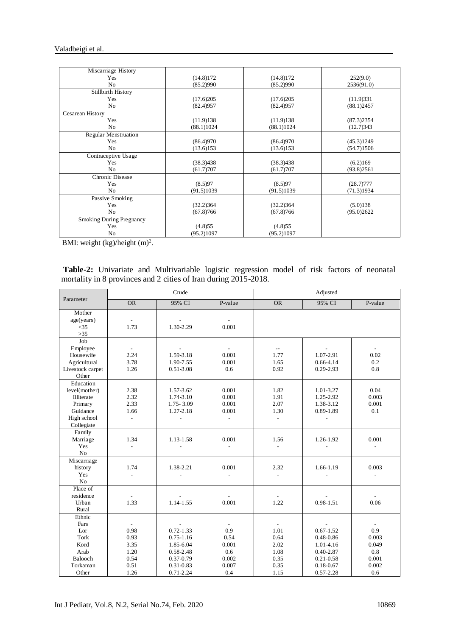| Miscarriage History         |            |            |            |
|-----------------------------|------------|------------|------------|
| Yes                         | (14.8)172  | (14.8)172  | 252(9.0)   |
| N <sub>o</sub>              | (85.2)990  | (85.2)990  | 2536(91.0) |
| Stillbirth History          |            |            |            |
| Yes                         | (17.6)205  | (17.6)205  | (11.9)331  |
| N <sub>0</sub>              | (82.4)957  | (82.4)957  | (88.1)2457 |
| Cesarean History            |            |            |            |
| Yes                         | (11.9)138  | (11.9)138  | (87.3)2354 |
| N <sub>o</sub>              | (88.1)1024 | (88.1)1024 | (12.7)343  |
| <b>Regular Menstruation</b> |            |            |            |
| Yes                         | (86.4)970  | (86.4)970  | (45.3)1249 |
| No                          | (13.6)153  | (13.6)153  | (54.7)1506 |
| Contraceptive Usage         |            |            |            |
| Yes                         | (38.3)438  | (38.3)438  | (6.2)169   |
| No                          | (61.7)707  | (61.7)707  | (93.8)2561 |
| Chronic Disease             |            |            |            |
| Yes                         | (8.5)97    | (8.5)97    | (28.7)777  |
| No                          | (91.5)1039 | (91.5)1039 | (71.3)1934 |
| Passive Smoking             |            |            |            |
| Yes                         | (32.2)364  | (32.2)364  | (5.0)138   |
| No                          | (67.8)766  | (67.8)766  | (95.0)2622 |
| Smoking During Pregnancy    |            |            |            |
| Yes                         | (4.8)55    | (4.8)55    |            |
| No                          | (95.2)1097 | (95.2)1097 |            |

BMI: weight  $(kg)/height$  (m)<sup>2</sup>.

**Table-2:** Univariate and Multivariable logistic regression model of risk factors of neonatal mortality in 8 provinces and 2 cities of Iran during 2015-2018.

| Parameter        | Crude                    |               | Adjusted                 |                |               |         |
|------------------|--------------------------|---------------|--------------------------|----------------|---------------|---------|
|                  | OR                       | 95% CI        | P-value                  | <b>OR</b>      | 95% CI        | P-value |
| Mother           |                          |               |                          |                |               |         |
| age(years)       |                          |               |                          |                |               |         |
| $<$ 35           | 1.73                     | 1.30-2.29     | 0.001                    |                |               |         |
| $>35$            |                          |               |                          |                |               |         |
| Job              |                          |               |                          |                |               |         |
| Employee         | $\overline{\phantom{a}}$ |               | $\overline{\phantom{a}}$ |                |               |         |
| Housewife        | 2.24                     | 1.59-3.18     | 0.001                    | 1.77           | 1.07-2.91     | 0.02    |
| Agricultural     | 3.78                     | 1.90-7.55     | 0.001                    | 1.65           | $0.66 - 4.14$ | 0.2     |
| Livestock carpet | 1.26                     | $0.51 - 3.08$ | 0.6                      | 0.92           | $0.29 - 2.93$ | 0.8     |
| Other            |                          |               |                          |                |               |         |
| Education        |                          |               |                          |                |               |         |
| level(mother)    | 2.38                     | 1.57-3.62     | 0.001                    | 1.82           | 1.01-3.27     | 0.04    |
| Illiterate       | 2.32                     | 1.74-3.10     | 0.001                    | 1.91           | 1.25-2.92     | 0.003   |
| Primary          | 2.33                     | $1.75 - 3.09$ | 0.001                    | 2.07           | 1.38-3.12     | 0.001   |
| Guidance         | 1.66                     | 1.27-2.18     | 0.001                    | 1.30           | 0.89-1.89     | 0.1     |
| High school      | $\overline{\phantom{a}}$ |               | $\overline{\phantom{a}}$ | $\blacksquare$ |               |         |
| Collegiate       |                          |               |                          |                |               |         |
| Family           |                          |               |                          |                |               |         |
| Marriage         | 1.34                     | 1.13-1.58     | 0.001                    | 1.56           | 1.26-1.92     | 0.001   |
| Yes              | $\overline{a}$           |               | $\overline{a}$           | L,             |               | ÷.      |
| N <sub>o</sub>   |                          |               |                          |                |               |         |
| Miscarriage      |                          |               |                          |                |               |         |
| history          | 1.74                     | 1.38-2.21     | 0.001                    | 2.32           | 1.66-1.19     | 0.003   |
| Yes              |                          |               |                          |                |               | ÷.      |
| No               |                          |               |                          |                |               |         |
| Place of         |                          |               |                          |                |               |         |
| residence        |                          |               |                          |                |               |         |
| Urban            | 1.33                     | 1.14-1.55     | 0.001                    | 1.22           | $0.98 - 1.51$ | 0.06    |
| Rural            |                          |               |                          |                |               |         |
| Ethnic           |                          |               |                          |                |               |         |
| Fars             |                          |               |                          |                |               |         |
| Lor              | 0.98                     | $0.72 - 1.33$ | 0.9                      | 1.01           | $0.67 - 1.52$ | 0.9     |
| Tork             | 0.93                     | $0.75 - 1.16$ | 0.54                     | 0.64           | 0.48-0.86     | 0.003   |
| Kord             | 3.35                     | 1.85-6.04     | 0.001                    | 2.02           | 1.01-4.16     | 0.049   |
| Arab             | 1.20                     | $0.58 - 2.48$ | 0.6                      | 1.08           | $0.40 - 2.87$ | 0.8     |
| Balooch          | 0.54                     | 0.37-0.79     | 0.002                    | 0.35           | $0.21 - 0.58$ | 0.001   |
| Torkaman         | 0.51                     | $0.31 - 0.83$ | 0.007                    | 0.35           | $0.18 - 0.67$ | 0.002   |
| Other            | 1.26                     | $0.71 - 2.24$ | 0.4                      | 1.15           | $0.57 - 2.28$ | 0.6     |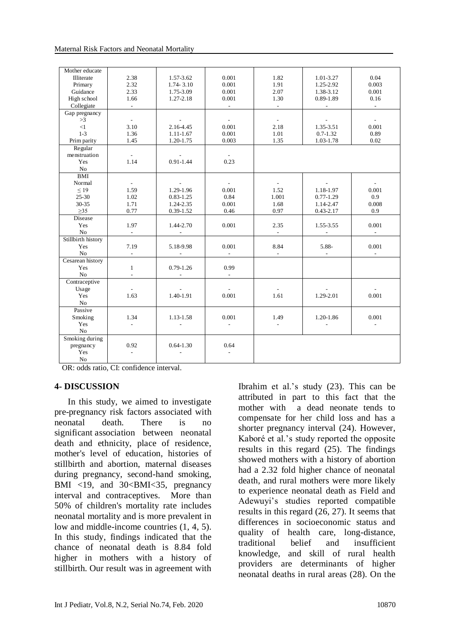| Mother educate     |                          |                |                             |                          |                          |                          |
|--------------------|--------------------------|----------------|-----------------------------|--------------------------|--------------------------|--------------------------|
| Illiterate         | 2.38                     | 1.57-3.62      | 0.001                       | 1.82                     | 1.01-3.27                | 0.04                     |
| Primary            | 2.32                     | $1.74 - 3.10$  | 0.001                       | 1.91                     | 1.25-2.92                | 0.003                    |
| Guidance           | 2.33                     | 1.75-3.09      | 0.001                       | 2.07                     | 1.38-3.12                | 0.001                    |
| High school        | 1.66                     | 1.27-2.18      | 0.001                       | 1.30                     | 0.89-1.89                | 0.16                     |
| Collegiate         | $\mathcal{L}^{\pm}$      |                | $\omega$                    | $\mathbb{Z}^+$           | $\sim 10^{-1}$           | $\sim$                   |
| Gap pregnancy      |                          |                |                             |                          |                          |                          |
| >3                 | $\blacksquare$           | $\sim$         | $\sim$                      | $\sim$                   | $\omega$                 | $\sim$                   |
| $<1$               | 3.10                     | 2.16-4.45      | 0.001                       | 2.18                     | 1.35-3.51                | 0.001                    |
| $1 - 3$            | 1.36                     | $1.11 - 1.67$  | 0.001                       | 1.01                     | $0.7 - 1.32$             | 0.89                     |
| Prim parity        | 1.45                     | 1.20-1.75      | 0.003                       | 1.35                     | 1.03-1.78                | 0.02                     |
| Regular            |                          |                |                             |                          |                          |                          |
| menstruation       | $\sim$                   |                |                             |                          |                          |                          |
| Yes                | 1.14                     | $0.91 - 1.44$  | 0.23                        |                          |                          |                          |
| No                 |                          |                |                             |                          |                          |                          |
|                    |                          |                |                             |                          |                          |                          |
| BMI                |                          |                |                             |                          |                          |                          |
| Normal             | $\blacksquare$           | $\sim$         | $\sim$                      | $\omega_{\rm c}$         | $\sim$                   |                          |
| $\leq$ 19          | 1.59                     | 1.29-1.96      | 0.001                       | 1.52                     | 1.18-1.97                | 0.001                    |
| $25 - 30$          | 1.02                     | $0.83 - 1.25$  | 0.84                        | 1.001                    | $0.77 - 1.29$            | 0.9                      |
| 30-35              | 1.71                     | 1.24-2.35      | 0.001                       | 1.68                     | 1.14-2.47                | 0.008                    |
| $\geq$ 35          | 0.77                     | $0.39 - 1.52$  | 0.46                        | 0.97                     | $0.43 - 2.17$            | 0.9                      |
| Disease            |                          |                |                             |                          |                          |                          |
| Yes                | 1.97                     | 1.44-2.70      | 0.001                       | 2.35                     | 1.55-3.55                | 0.001                    |
| N <sub>o</sub>     | $\omega_{\rm c}$         | $\blacksquare$ |                             | $\sim$                   | $\overline{\phantom{a}}$ | $\sim$                   |
| Stillbirth history |                          |                |                             |                          |                          |                          |
| Yes                | 7.19                     | 5.18-9.98      | 0.001                       | 8.84                     | $5.88 -$                 | 0.001                    |
| No                 | $\mathcal{L}^{\pm}$      | $\sim$         | $\sim$                      | $\mathcal{L}^{\pm}$      |                          | ÷.                       |
| Cesarean history   |                          |                |                             |                          |                          |                          |
| Yes                | $\mathbf{1}$             | $0.79 - 1.26$  | 0.99                        |                          |                          |                          |
| No                 | $\mathbf{r}$             | $\sim$         | $\mathcal{L}^{\mathcal{A}}$ |                          |                          |                          |
| Contraceptive      |                          |                |                             |                          |                          |                          |
| Usage              | $\overline{\phantom{a}}$ |                |                             | $\sim$                   | $\sim$                   |                          |
| Yes                | 1.63                     | 1.40-1.91      | 0.001                       | 1.61                     | 1.29-2.01                | 0.001                    |
| No                 |                          |                |                             |                          |                          |                          |
| Passive            |                          |                |                             |                          |                          |                          |
| Smoking            | 1.34                     | 1.13-1.58      | 0.001                       | 1.49                     | 1.20-1.86                | 0.001                    |
| Yes                | $\mathcal{L}^{\pm}$      |                | $\mathbf{L}$                | $\overline{\phantom{a}}$ |                          | $\overline{\phantom{a}}$ |
| N <sub>o</sub>     |                          |                |                             |                          |                          |                          |
|                    |                          |                |                             |                          |                          |                          |
| Smoking during     |                          |                |                             |                          |                          |                          |
| pregnancy          | 0.92                     | $0.64 - 1.30$  | 0.64                        |                          |                          |                          |
| Yes                | $\overline{\phantom{a}}$ |                |                             |                          |                          |                          |
| No                 |                          |                |                             |                          |                          |                          |

OR: odds ratio, CI: confidence interval.

#### **4- DISCUSSION**

 In this study, we aimed to investigate pre-pregnancy risk factors associated with neonatal death. There is no significant association between neonatal death and ethnicity, place of residence, mother's level of education, histories of stillbirth and abortion, maternal diseases during pregnancy, second-hand smoking, BMI  $\langle 19, \text{ and } 30 \langle \text{BMI} \rangle \langle 35, \text{ pregnancy} \rangle$ interval and contraceptives. More than 50% of children's mortality rate includes neonatal mortality and is more prevalent in low and middle-income countries (1, 4, 5). In this study, findings indicated that the chance of neonatal death is 8.84 fold higher in mothers with a history of stillbirth. Our result was in agreement with

[Ibrahim e](https://www.ncbi.nlm.nih.gov/pubmed/?term=Ibrahim%20SA%5BAuthor%5D&cauthor=true&cauthor_uid=8047487)t al.'s study (23). This can be attributed in part to this fact that the mother with a dead neonate tends to compensate for her child loss and has a shorter pregnancy interval (24). However, Kaboré et al.'s study reported the opposite results in this regard (25). The findings showed mothers with a history of abortion had a 2.32 fold higher chance of neonatal death, and rural mothers were more likely to experience neonatal death as Field and Adewuyi's studies reported compatible results in this regard (26, 27). It seems that differences in socioeconomic status and quality of health care, long-distance, traditional belief and insufficient knowledge, and skill of rural health providers are determinants of higher neonatal deaths in rural areas (28). On the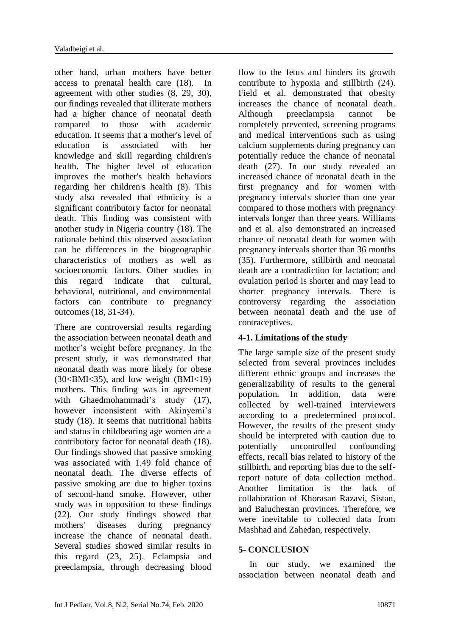other hand, urban mothers have better access to prenatal health care (18). In agreement with other studies (8, 29, 30), our findings revealed that illiterate mothers had a higher chance of neonatal death compared to those with academic education. It seems that a mother's level of education is associated with her knowledge and skill regarding children's health. The higher level of education improves the mother's health behaviors regarding her children's health (8). This study also revealed that ethnicity is a significant contributory factor for neonatal death. This finding was consistent with another study in Nigeria country (18). The rationale behind this observed association can be differences in the biogeographic characteristics of mothers as well as socioeconomic factors. Other studies in this regard indicate that cultural, behavioral, nutritional, and environmental factors can contribute to pregnancy outcomes (18, 31-34).

There are controversial results regarding the association between neonatal death and mother's weight before pregnancy. In the present study, it was demonstrated that neonatal death was more likely for obese  $(30\leq BMI \leq 35)$ , and low weight  $(BMI \leq 19)$ mothers. This finding was in agreement with Ghaedmohammadi's study (17), however inconsistent with Akinyemi's study (18). It seems that nutritional habits and status in childbearing age women are a contributory factor for neonatal death (18). Our findings showed that passive smoking was associated with 1.49 fold chance of neonatal death. The diverse effects of passive smoking are due to higher toxins of second-hand smoke. However, other study was in opposition to these findings (22). Our study findings showed that mothers' diseases during pregnancy increase the chance of neonatal death. Several studies showed similar results in this regard (23, 25). Eclampsia and preeclampsia, through decreasing blood

flow to the fetus and hinders its growth contribute to hypoxia and stillbirth (24). Field et al. demonstrated that obesity increases the chance of neonatal death. Although preeclampsia cannot be completely prevented, screening programs and medical interventions such as using calcium supplements during pregnancy can potentially reduce the chance of neonatal death (27). In our study revealed an increased chance of neonatal death in the first pregnancy and for women with pregnancy intervals shorter than one year compared to those mothers with pregnancy intervals longer than three years. Williams and et al. also demonstrated an increased chance of neonatal death for women with pregnancy intervals shorter than 36 months (35). Furthermore, stillbirth and neonatal death are a contradiction for lactation; and ovulation period is shorter and may lead to shorter pregnancy intervals. There is controversy regarding the association between neonatal death and the use of contraceptives.

# **4-1. Limitations of the study**

The large sample size of the present study selected from several provinces includes different ethnic groups and increases the generalizability of results to the general population. In addition, data were collected by well-trained interviewers according to a predetermined protocol. However, the results of the present study should be interpreted with caution due to potentially uncontrolled confounding effects, recall bias related to history of the stillbirth, and reporting bias due to the selfreport nature of data collection method. Another limitation is the lack of collaboration of Khorasan Razavi, Sistan, and Baluchestan provinces. Therefore, we were inevitable to collected data from Mashhad and Zahedan, respectively.

## **5- CONCLUSION**

our study, we examined the association between neonatal death and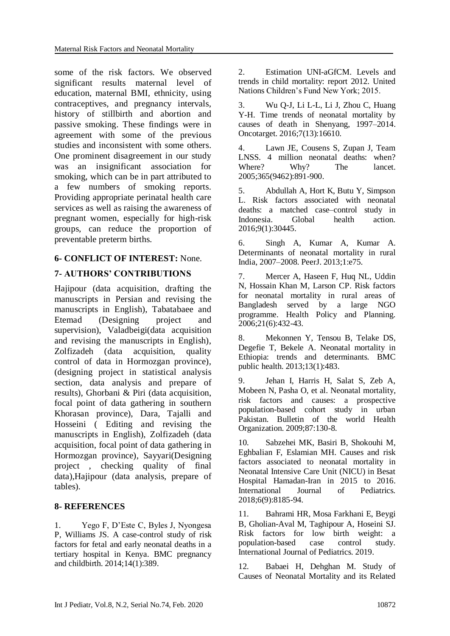some of the risk factors. We observed significant results maternal level of education, maternal BMI, ethnicity, using contraceptives, and pregnancy intervals, history of stillbirth and abortion and passive smoking. These findings were in agreement with some of the previous studies and inconsistent with some others. One prominent disagreement in our study was an insignificant association for smoking, which can be in part attributed to a few numbers of smoking reports. Providing appropriate perinatal health care services as well as raising the awareness of pregnant women, especially for high-risk groups, can reduce the proportion of preventable preterm births.

## **6- CONFLICT OF INTEREST:** None.

# **7- AUTHORS' CONTRIBUTIONS**

Hajipour (data acquisition, drafting the manuscripts in Persian and revising the manuscripts in English), Tabatabaee and Etemad (Designing project and supervision), Valadbeigi(data acquisition and revising the manuscripts in English), Zolfizadeh (data acquisition, quality control of data in Hormozgan province), (designing project in statistical analysis section, data analysis and prepare of results), Ghorbani & Piri (data acquisition, focal point of data gathering in southern Khorasan province), Dara, Tajalli and Hosseini ( Editing and revising the manuscripts in English), Zolfizadeh (data acquisition, focal point of data gathering in Hormozgan province), Sayyari(Designing project , checking quality of final data),Hajipour (data analysis, prepare of tables).

## **8- REFERENCES**

1. Yego F, D'Este C, Byles J, Nyongesa P, Williams JS. A case-control study of risk factors for fetal and early neonatal deaths in a tertiary hospital in Kenya. BMC pregnancy and childbirth. 2014;14(1):389.

2. Estimation UNI-aGfCM. Levels and trends in child mortality: report 2012. United Nations Children's Fund New York; 2015.

3. Wu Q-J, Li L-L, Li J, Zhou C, Huang Y-H. Time trends of neonatal mortality by causes of death in Shenyang, 1997–2014. Oncotarget. 2016;7(13):16610.

4. Lawn JE, Cousens S, Zupan J, Team LNSS. 4 million neonatal deaths: when? Where? Why? The lancet. 2005;365(9462):891-900.

5. Abdullah A, Hort K, Butu Y, Simpson L. Risk factors associated with neonatal deaths: a matched case–control study in Indonesia. Global health action. 2016;9(1):30445.

6. Singh A, Kumar A, Kumar A. Determinants of neonatal mortality in rural India, 2007–2008. PeerJ. 2013;1:e75.

7. Mercer A, Haseen F, Huq NL, Uddin N, Hossain Khan M, Larson CP. Risk factors for neonatal mortality in rural areas of Bangladesh served by a large NGO programme. Health Policy and Planning. 2006;21(6):432-43.

8. Mekonnen Y, Tensou B, Telake DS, Degefie T, Bekele A. Neonatal mortality in Ethiopia: trends and determinants. BMC public health. 2013;13(1):483.

9. Jehan I, Harris H, Salat S, Zeb A, Mobeen N, Pasha O, et al. Neonatal mortality, risk factors and causes: a prospective population-based cohort study in urban Pakistan. Bulletin of the world Health Organization. 2009;87:130-8.

10. Sabzehei MK, Basiri B, Shokouhi M, Eghbalian F, Eslamian MH. Causes and risk factors associated to neonatal mortality in Neonatal Intensive Care Unit (NICU) in Besat Hospital Hamadan-Iran in 2015 to 2016. International Journal of Pediatrics. 2018;6(9):8185-94.

11. Bahrami HR, Mosa Farkhani E, Beygi B, Gholian-Aval M, Taghipour A, Hoseini SJ. Risk factors for low birth weight: a population-based case control study. International Journal of Pediatrics. 2019.

12. Babaei H, Dehghan M. Study of Causes of Neonatal Mortality and its Related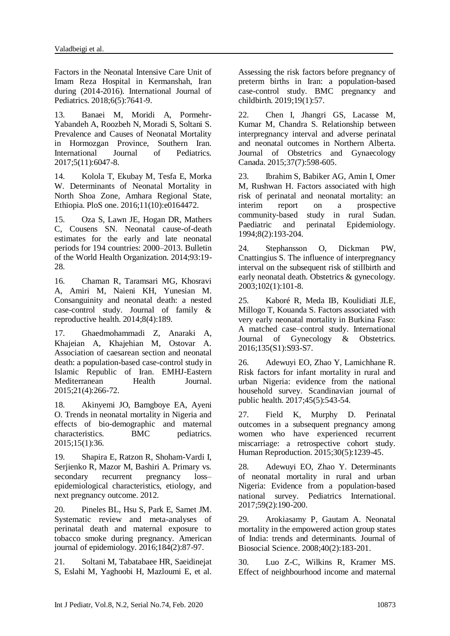Factors in the Neonatal Intensive Care Unit of Imam Reza Hospital in Kermanshah, Iran during (2014-2016). International Journal of Pediatrics. 2018;6(5):7641-9.

13. Banaei M, Moridi A, Pormehr-Yabandeh A, Roozbeh N, Moradi S, Soltani S. Prevalence and Causes of Neonatal Mortality in Hormozgan Province, Southern Iran. International Journal of Pediatrics. 2017;5(11):6047-8.

14. Kolola T, Ekubay M, Tesfa E, Morka W. Determinants of Neonatal Mortality in North Shoa Zone, Amhara Regional State, Ethiopia. PloS one. 2016;11(10):e0164472.

15. Oza S, Lawn JE, Hogan DR, Mathers C, Cousens SN. Neonatal cause-of-death estimates for the early and late neonatal periods for 194 countries: 2000–2013. Bulletin of the World Health Organization. 2014;93:19- 28.

16. Chaman R, Taramsari MG, Khosravi A, Amiri M, Naieni KH, Yunesian M. Consanguinity and neonatal death: a nested case-control study. Journal of family & reproductive health. 2014;8(4):189.

17. Ghaedmohammadi Z, Anaraki A, Khajeian A, Khajehian M, Ostovar A. Association of caesarean section and neonatal death: a population-based case-control study in Islamic Republic of Iran. EMHJ-Eastern Mediterranean Health Journal. 2015;21(4):266-72.

18. Akinyemi JO, Bamgboye EA, Ayeni O. Trends in neonatal mortality in Nigeria and effects of bio-demographic and maternal characteristics. BMC pediatrics. 2015;15(1):36.

19. Shapira E, Ratzon R, Shoham-Vardi I, Serjienko R, Mazor M, Bashiri A. Primary vs. secondary recurrent pregnancy loss– epidemiological characteristics, etiology, and next pregnancy outcome. 2012.

20. Pineles BL, Hsu S, Park E, Samet JM. Systematic review and meta-analyses of perinatal death and maternal exposure to tobacco smoke during pregnancy. American journal of epidemiology. 2016;184(2):87-97.

21. Soltani M, Tabatabaee HR, Saeidinejat S, Eslahi M, Yaghoobi H, Mazloumi E, et al. Assessing the risk factors before pregnancy of preterm births in Iran: a population-based case-control study. BMC pregnancy and childbirth. 2019;19(1):57.

22. Chen I, Jhangri GS, Lacasse M, Kumar M, Chandra S. Relationship between interpregnancy interval and adverse perinatal and neonatal outcomes in Northern Alberta. Journal of Obstetrics and Gynaecology Canada. 2015;37(7):598-605.

23. Ibrahim S, Babiker AG, Amin I, Omer M, Rushwan H. Factors associated with high risk of perinatal and neonatal mortality: an interim report on a prospective community-based study in rural Sudan. Paediatric and perinatal Epidemiology. 1994;8(2):193-204.

24. Stephansson O, Dickman PW, Cnattingius S. The influence of interpregnancy interval on the subsequent risk of stillbirth and early neonatal death. Obstetrics & gynecology. 2003;102(1):101-8.

25. Kaboré R, Meda IB, Koulidiati JLE, Millogo T, Kouanda S. Factors associated with very early neonatal mortality in Burkina Faso: A matched case–control study. International Journal of Gynecology & Obstetrics. 2016;135(S1):S93-S7.

26. Adewuyi EO, Zhao Y, Lamichhane R. Risk factors for infant mortality in rural and urban Nigeria: evidence from the national household survey. Scandinavian journal of public health. 2017;45(5):543-54.

27. Field K, Murphy D. Perinatal outcomes in a subsequent pregnancy among women who have experienced recurrent miscarriage: a retrospective cohort study. Human Reproduction. 2015;30(5):1239-45.

28. Adewuyi EO, Zhao Y. Determinants of neonatal mortality in rural and urban Nigeria: Evidence from a population‐based national survey. Pediatrics International. 2017;59(2):190-200.

29. Arokiasamy P, Gautam A. Neonatal mortality in the empowered action group states of India: trends and determinants. Journal of Biosocial Science. 2008;40(2):183-201.

30. Luo Z-C, Wilkins R, Kramer MS. Effect of neighbourhood income and maternal